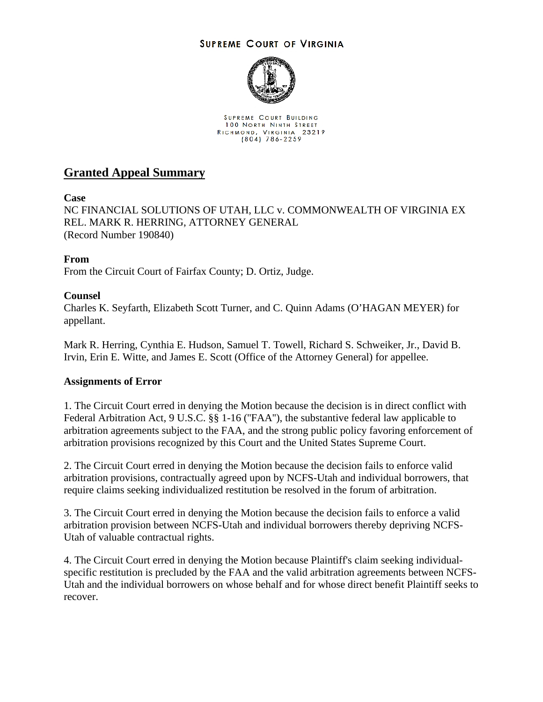## **SUPREME COURT OF VIRGINIA**



SUPREME COURT BUILDING **100 NORTH NINTH STREET** RICHMOND, VIRGINIA 23219<br>(804) 786-2259

## **Granted Appeal Summary**

**Case**

NC FINANCIAL SOLUTIONS OF UTAH, LLC v. COMMONWEALTH OF VIRGINIA EX REL. MARK R. HERRING, ATTORNEY GENERAL (Record Number 190840)

**From**

From the Circuit Court of Fairfax County; D. Ortiz, Judge.

## **Counsel**

Charles K. Seyfarth, Elizabeth Scott Turner, and C. Quinn Adams (O'HAGAN MEYER) for appellant.

Mark R. Herring, Cynthia E. Hudson, Samuel T. Towell, Richard S. Schweiker, Jr., David B. Irvin, Erin E. Witte, and James E. Scott (Office of the Attorney General) for appellee.

## **Assignments of Error**

1. The Circuit Court erred in denying the Motion because the decision is in direct conflict with Federal Arbitration Act, 9 U.S.C. §§ 1-16 ("FAA"), the substantive federal law applicable to arbitration agreements subject to the FAA, and the strong public policy favoring enforcement of arbitration provisions recognized by this Court and the United States Supreme Court.

2. The Circuit Court erred in denying the Motion because the decision fails to enforce valid arbitration provisions, contractually agreed upon by NCFS-Utah and individual borrowers, that require claims seeking individualized restitution be resolved in the forum of arbitration.

3. The Circuit Court erred in denying the Motion because the decision fails to enforce a valid arbitration provision between NCFS-Utah and individual borrowers thereby depriving NCFS-Utah of valuable contractual rights.

4. The Circuit Court erred in denying the Motion because Plaintiff's claim seeking individualspecific restitution is precluded by the FAA and the valid arbitration agreements between NCFS-Utah and the individual borrowers on whose behalf and for whose direct benefit Plaintiff seeks to recover.